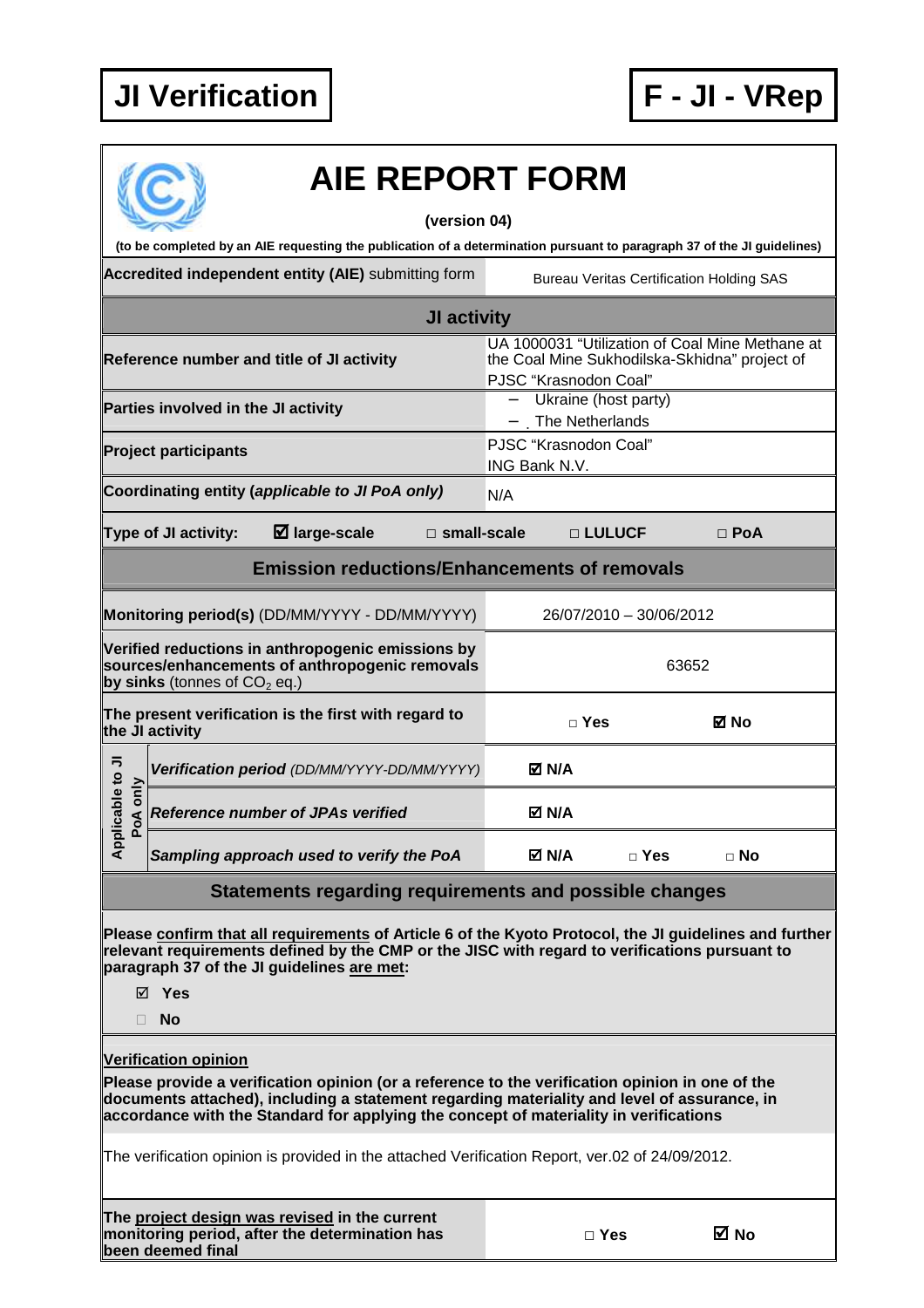

| <b>AIE REPORT FORM</b>                                                                                                                                                                                                                                |                                                                        |                         |                                                 |
|-------------------------------------------------------------------------------------------------------------------------------------------------------------------------------------------------------------------------------------------------------|------------------------------------------------------------------------|-------------------------|-------------------------------------------------|
| (version 04)                                                                                                                                                                                                                                          |                                                                        |                         |                                                 |
| (to be completed by an AIE requesting the publication of a determination pursuant to paragraph 37 of the JI guidelines)                                                                                                                               |                                                                        |                         |                                                 |
| Accredited independent entity (AIE) submitting form                                                                                                                                                                                                   |                                                                        |                         | <b>Bureau Veritas Certification Holding SAS</b> |
| JI activity                                                                                                                                                                                                                                           |                                                                        |                         |                                                 |
| Reference number and title of JI activity                                                                                                                                                                                                             | the Coal Mine Sukhodilska-Skhidna" project of<br>PJSC "Krasnodon Coal" |                         | UA 1000031 "Utilization of Coal Mine Methane at |
| Parties involved in the JI activity                                                                                                                                                                                                                   | Ukraine (host party)<br>$\overline{\phantom{0}}$<br>The Netherlands    |                         |                                                 |
| <b>Project participants</b>                                                                                                                                                                                                                           | PJSC "Krasnodon Coal"<br>ING Bank N.V.                                 |                         |                                                 |
| Coordinating entity (applicable to JI PoA only)                                                                                                                                                                                                       | N/A                                                                    |                         |                                                 |
| $\boxtimes$ large-scale<br>$\square$ small-scale<br>Type of JI activity:                                                                                                                                                                              | □ LULUCF                                                               |                         | $\Box$ PoA                                      |
| <b>Emission reductions/Enhancements of removals</b>                                                                                                                                                                                                   |                                                                        |                         |                                                 |
| Monitoring period(s) (DD/MM/YYYY - DD/MM/YYYY)                                                                                                                                                                                                        |                                                                        | 26/07/2010 - 30/06/2012 |                                                 |
| Verified reductions in anthropogenic emissions by<br>sources/enhancements of anthropogenic removals<br>by sinks (tonnes of $CO2$ eq.)                                                                                                                 |                                                                        | 63652                   |                                                 |
| The present verification is the first with regard to<br>the JI activity                                                                                                                                                                               | $\Box$ Yes                                                             |                         | ⊠ No                                            |
| Verification period (DD/MM/YYYY-DD/MM/YYYY)                                                                                                                                                                                                           | M N/A                                                                  |                         |                                                 |
| licable to JI<br>voA only<br><b>Reference number of JPAs verified</b>                                                                                                                                                                                 | M N/A                                                                  |                         |                                                 |
| $\overline{A}^{\text{p}}$<br>Sampling approach used to verify the PoA                                                                                                                                                                                 | M N/A⊡                                                                 | □ Yes                   | $\sqcap$ No                                     |
| Statements regarding requirements and possible changes                                                                                                                                                                                                |                                                                        |                         |                                                 |
| Please confirm that all requirements of Article 6 of the Kyoto Protocol, the JI guidelines and further<br>relevant requirements defined by the CMP or the JISC with regard to verifications pursuant to<br>paragraph 37 of the JI guidelines are met: |                                                                        |                         |                                                 |
| ⊠ Yes<br>$\Box$ No                                                                                                                                                                                                                                    |                                                                        |                         |                                                 |
| <b>Verification opinion</b><br>Please provide a verification opinion (or a reference to the verification opinion in one of the<br>documents attached), including a statement regarding materiality and level of assurance, in                         |                                                                        |                         |                                                 |
| accordance with the Standard for applying the concept of materiality in verifications<br>The verification opinion is provided in the attached Verification Report, ver.02 of 24/09/2012.                                                              |                                                                        |                         |                                                 |
| The project design was revised in the current<br>monitoring period, after the determination has<br>been deemed final                                                                                                                                  | $\Box$ Yes                                                             |                         | ⊠ No                                            |